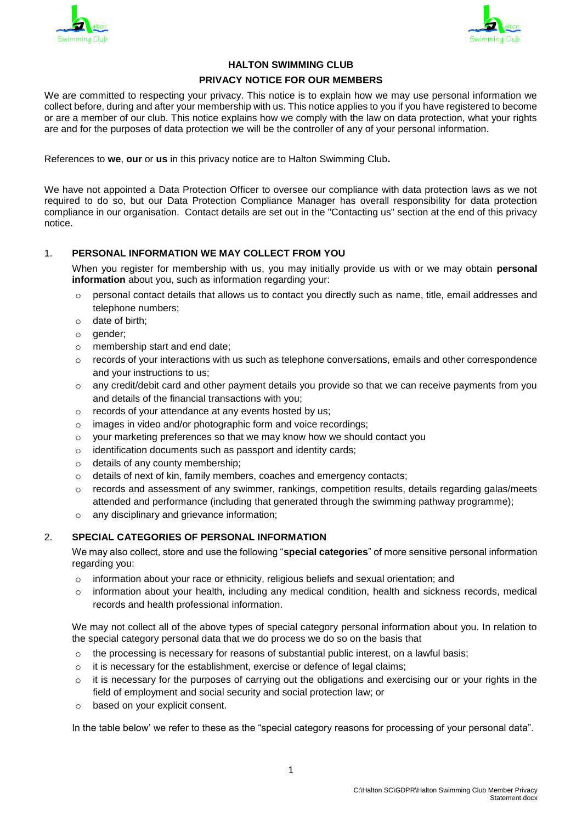



# **HALTON SWIMMING CLUB**

#### **PRIVACY NOTICE FOR OUR MEMBERS**

We are committed to respecting your privacy. This notice is to explain how we may use personal information we collect before, during and after your membership with us. This notice applies to you if you have registered to become or are a member of our club. This notice explains how we comply with the law on data protection, what your rights are and for the purposes of data protection we will be the controller of any of your personal information.

References to **we**, **our** or **us** in this privacy notice are to Halton Swimming Club**.**

We have not appointed a Data Protection Officer to oversee our compliance with data protection laws as we not required to do so, but our Data Protection Compliance Manager has overall responsibility for data protection compliance in our organisation. Contact details are set out in the "Contacting us" section at the end of this privacy notice.

# 1. **PERSONAL INFORMATION WE MAY COLLECT FROM YOU**

When you register for membership with us, you may initially provide us with or we may obtain **personal information** about you, such as information regarding your:

- $\circ$  personal contact details that allows us to contact you directly such as name, title, email addresses and telephone numbers;
- o date of birth;
- o gender;
- o membership start and end date;
- $\circ$  records of your interactions with us such as telephone conversations, emails and other correspondence and your instructions to us;
- $\circ$  any credit/debit card and other payment details you provide so that we can receive payments from you and details of the financial transactions with you;
- o records of your attendance at any events hosted by us;
- o images in video and/or photographic form and voice recordings;
- o your marketing preferences so that we may know how we should contact you
- o identification documents such as passport and identity cards;
- o details of any county membership;
- $\circ$  details of next of kin, family members, coaches and emergency contacts;
- $\circ$  records and assessment of any swimmer, rankings, competition results, details regarding galas/meets attended and performance (including that generated through the swimming pathway programme);
- o any disciplinary and grievance information;

### 2. **SPECIAL CATEGORIES OF PERSONAL INFORMATION**

We may also collect, store and use the following "**special categories**" of more sensitive personal information regarding you:

- $\circ$  information about your race or ethnicity, religious beliefs and sexual orientation; and
- $\circ$  information about your health, including any medical condition, health and sickness records, medical records and health professional information.

We may not collect all of the above types of special category personal information about you. In relation to the special category personal data that we do process we do so on the basis that

- $\circ$  the processing is necessary for reasons of substantial public interest, on a lawful basis;
- o it is necessary for the establishment, exercise or defence of legal claims;
- $\circ$  it is necessary for the purposes of carrying out the obligations and exercising our or your rights in the field of employment and social security and social protection law; or
- o based on your explicit consent.

In the table below' we refer to these as the "special category reasons for processing of your personal data".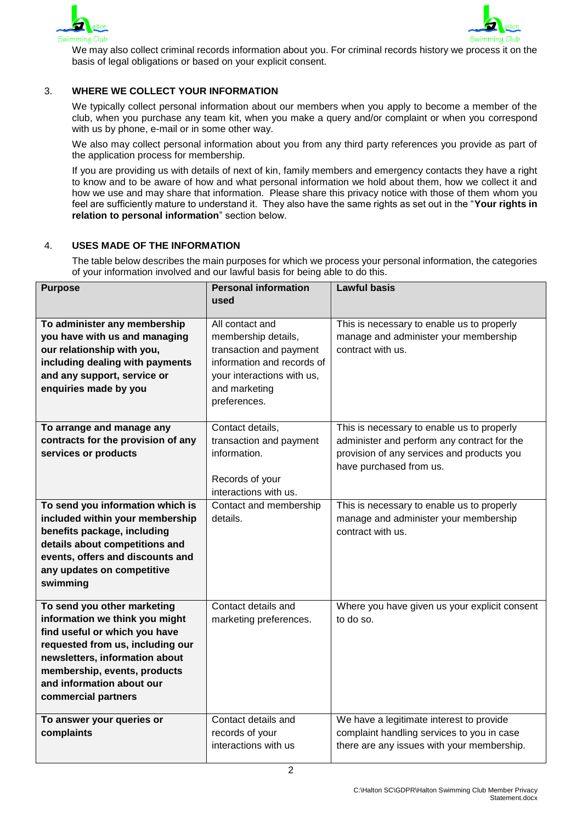



We may also collect criminal records information about you. For criminal records history we process it on the basis of legal obligations or based on your explicit consent.

# 3. **WHERE WE COLLECT YOUR INFORMATION**

We typically collect personal information about our members when you apply to become a member of the club, when you purchase any team kit, when you make a query and/or complaint or when you correspond with us by phone, e-mail or in some other way.

We also may collect personal information about you from any third party references you provide as part of the application process for membership.

If you are providing us with details of next of kin, family members and emergency contacts they have a right to know and to be aware of how and what personal information we hold about them, how we collect it and how we use and may share that information. Please share this privacy notice with those of them whom you feel are sufficiently mature to understand it. They also have the same rights as set out in the "**Your rights in relation to personal information**" section below.

#### 4. **USES MADE OF THE INFORMATION**

The table below describes the main purposes for which we process your personal information, the categories of your information involved and our lawful basis for being able to do this.

| <b>Purpose</b>                                                                                                                                                                                                                                           | <b>Personal information</b><br>used                                                                                                                            | <b>Lawful basis</b>                                                                                                                                                |
|----------------------------------------------------------------------------------------------------------------------------------------------------------------------------------------------------------------------------------------------------------|----------------------------------------------------------------------------------------------------------------------------------------------------------------|--------------------------------------------------------------------------------------------------------------------------------------------------------------------|
|                                                                                                                                                                                                                                                          |                                                                                                                                                                |                                                                                                                                                                    |
| To administer any membership<br>you have with us and managing<br>our relationship with you,<br>including dealing with payments<br>and any support, service or<br>enquiries made by you                                                                   | All contact and<br>membership details,<br>transaction and payment<br>information and records of<br>your interactions with us,<br>and marketing<br>preferences. | This is necessary to enable us to properly<br>manage and administer your membership<br>contract with us.                                                           |
| To arrange and manage any<br>contracts for the provision of any<br>services or products                                                                                                                                                                  | Contact details,<br>transaction and payment<br>information.<br>Records of your<br>interactions with us.                                                        | This is necessary to enable us to properly<br>administer and perform any contract for the<br>provision of any services and products you<br>have purchased from us. |
| To send you information which is<br>included within your membership<br>benefits package, including<br>details about competitions and<br>events, offers and discounts and<br>any updates on competitive<br>swimming                                       | Contact and membership<br>details.                                                                                                                             | This is necessary to enable us to properly<br>manage and administer your membership<br>contract with us.                                                           |
| To send you other marketing<br>information we think you might<br>find useful or which you have<br>requested from us, including our<br>newsletters, information about<br>membership, events, products<br>and information about our<br>commercial partners | Contact details and<br>marketing preferences.                                                                                                                  | Where you have given us your explicit consent<br>to do so.                                                                                                         |
| To answer your queries or<br>complaints                                                                                                                                                                                                                  | Contact details and<br>records of your<br>interactions with us                                                                                                 | We have a legitimate interest to provide<br>complaint handling services to you in case<br>there are any issues with your membership.                               |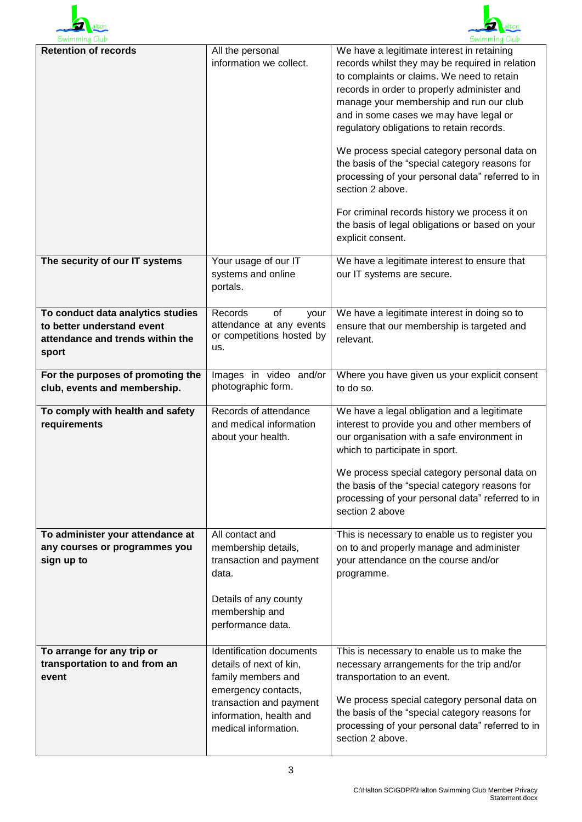



| Swimming Club                                                                                                |                                                                                                                                                                                | Swimming Club                                                                                                                                                                                                                                                                                                                                                                                                                                                                                                                                                                                                                   |
|--------------------------------------------------------------------------------------------------------------|--------------------------------------------------------------------------------------------------------------------------------------------------------------------------------|---------------------------------------------------------------------------------------------------------------------------------------------------------------------------------------------------------------------------------------------------------------------------------------------------------------------------------------------------------------------------------------------------------------------------------------------------------------------------------------------------------------------------------------------------------------------------------------------------------------------------------|
| <b>Retention of records</b>                                                                                  | All the personal<br>information we collect.                                                                                                                                    | We have a legitimate interest in retaining<br>records whilst they may be required in relation<br>to complaints or claims. We need to retain<br>records in order to properly administer and<br>manage your membership and run our club<br>and in some cases we may have legal or<br>regulatory obligations to retain records.<br>We process special category personal data on<br>the basis of the "special category reasons for<br>processing of your personal data" referred to in<br>section 2 above.<br>For criminal records history we process it on<br>the basis of legal obligations or based on your<br>explicit consent. |
| The security of our IT systems                                                                               | Your usage of our IT<br>systems and online<br>portals.                                                                                                                         | We have a legitimate interest to ensure that<br>our IT systems are secure.                                                                                                                                                                                                                                                                                                                                                                                                                                                                                                                                                      |
| To conduct data analytics studies<br>to better understand event<br>attendance and trends within the<br>sport | Records<br>of<br>your<br>attendance at any events<br>or competitions hosted by<br>us.                                                                                          | We have a legitimate interest in doing so to<br>ensure that our membership is targeted and<br>relevant.                                                                                                                                                                                                                                                                                                                                                                                                                                                                                                                         |
| For the purposes of promoting the<br>club, events and membership.                                            | Images in video and/or<br>photographic form.                                                                                                                                   | Where you have given us your explicit consent<br>to do so.                                                                                                                                                                                                                                                                                                                                                                                                                                                                                                                                                                      |
| To comply with health and safety<br>requirements                                                             | Records of attendance<br>and medical information<br>about your health.                                                                                                         | We have a legal obligation and a legitimate<br>interest to provide you and other members of<br>our organisation with a safe environment in<br>which to participate in sport.<br>We process special category personal data on<br>the basis of the "special category reasons for<br>processing of your personal data" referred to in<br>section 2 above                                                                                                                                                                                                                                                                           |
| To administer your attendance at<br>any courses or programmes you<br>sign up to                              | All contact and<br>membership details,<br>transaction and payment<br>data.<br>Details of any county<br>membership and<br>performance data.                                     | This is necessary to enable us to register you<br>on to and properly manage and administer<br>your attendance on the course and/or<br>programme.                                                                                                                                                                                                                                                                                                                                                                                                                                                                                |
| To arrange for any trip or<br>transportation to and from an<br>event                                         | Identification documents<br>details of next of kin,<br>family members and<br>emergency contacts,<br>transaction and payment<br>information, health and<br>medical information. | This is necessary to enable us to make the<br>necessary arrangements for the trip and/or<br>transportation to an event.<br>We process special category personal data on<br>the basis of the "special category reasons for<br>processing of your personal data" referred to in<br>section 2 above.                                                                                                                                                                                                                                                                                                                               |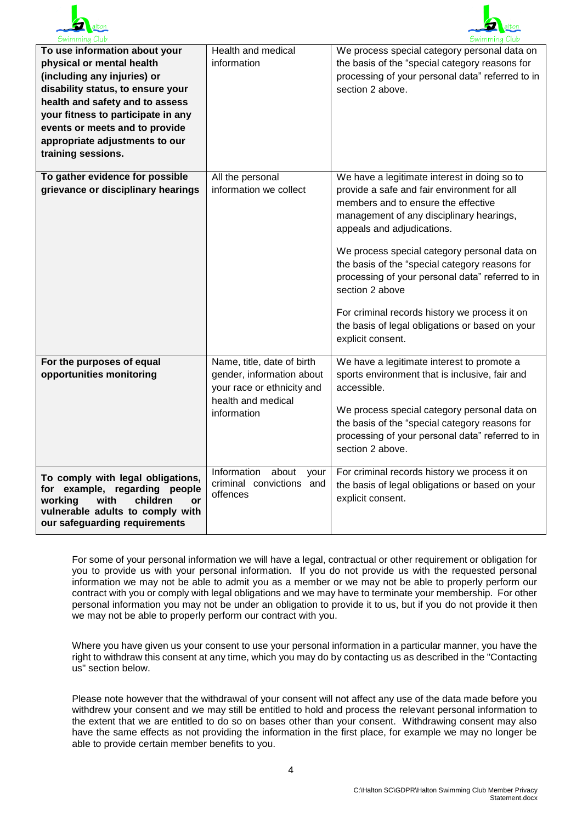



| Swimming Club                                                                                                                                                                                                                                                                                     |                                                                                                                            | Swimming Club                                                                                                                                                                                                                                                                                                                                                                                                                                                                                                  |
|---------------------------------------------------------------------------------------------------------------------------------------------------------------------------------------------------------------------------------------------------------------------------------------------------|----------------------------------------------------------------------------------------------------------------------------|----------------------------------------------------------------------------------------------------------------------------------------------------------------------------------------------------------------------------------------------------------------------------------------------------------------------------------------------------------------------------------------------------------------------------------------------------------------------------------------------------------------|
| To use information about your<br>physical or mental health<br>(including any injuries) or<br>disability status, to ensure your<br>health and safety and to assess<br>your fitness to participate in any<br>events or meets and to provide<br>appropriate adjustments to our<br>training sessions. | Health and medical<br>information                                                                                          | We process special category personal data on<br>the basis of the "special category reasons for<br>processing of your personal data" referred to in<br>section 2 above.                                                                                                                                                                                                                                                                                                                                         |
| To gather evidence for possible<br>grievance or disciplinary hearings                                                                                                                                                                                                                             | All the personal<br>information we collect                                                                                 | We have a legitimate interest in doing so to<br>provide a safe and fair environment for all<br>members and to ensure the effective<br>management of any disciplinary hearings,<br>appeals and adjudications.<br>We process special category personal data on<br>the basis of the "special category reasons for<br>processing of your personal data" referred to in<br>section 2 above<br>For criminal records history we process it on<br>the basis of legal obligations or based on your<br>explicit consent. |
| For the purposes of equal<br>opportunities monitoring                                                                                                                                                                                                                                             | Name, title, date of birth<br>gender, information about<br>your race or ethnicity and<br>health and medical<br>information | We have a legitimate interest to promote a<br>sports environment that is inclusive, fair and<br>accessible.<br>We process special category personal data on<br>the basis of the "special category reasons for<br>processing of your personal data" referred to in<br>section 2 above.                                                                                                                                                                                                                          |
| To comply with legal obligations,<br>for example, regarding people<br>working<br>children<br>with<br>or<br>vulnerable adults to comply with<br>our safeguarding requirements                                                                                                                      | Information<br>about<br>your<br>criminal convictions and<br>offences                                                       | For criminal records history we process it on<br>the basis of legal obligations or based on your<br>explicit consent.                                                                                                                                                                                                                                                                                                                                                                                          |

For some of your personal information we will have a legal, contractual or other requirement or obligation for you to provide us with your personal information. If you do not provide us with the requested personal information we may not be able to admit you as a member or we may not be able to properly perform our contract with you or comply with legal obligations and we may have to terminate your membership. For other personal information you may not be under an obligation to provide it to us, but if you do not provide it then we may not be able to properly perform our contract with you.

Where you have given us your consent to use your personal information in a particular manner, you have the right to withdraw this consent at any time, which you may do by contacting us as described in the "Contacting us" section below.

Please note however that the withdrawal of your consent will not affect any use of the data made before you withdrew your consent and we may still be entitled to hold and process the relevant personal information to the extent that we are entitled to do so on bases other than your consent. Withdrawing consent may also have the same effects as not providing the information in the first place, for example we may no longer be able to provide certain member benefits to you.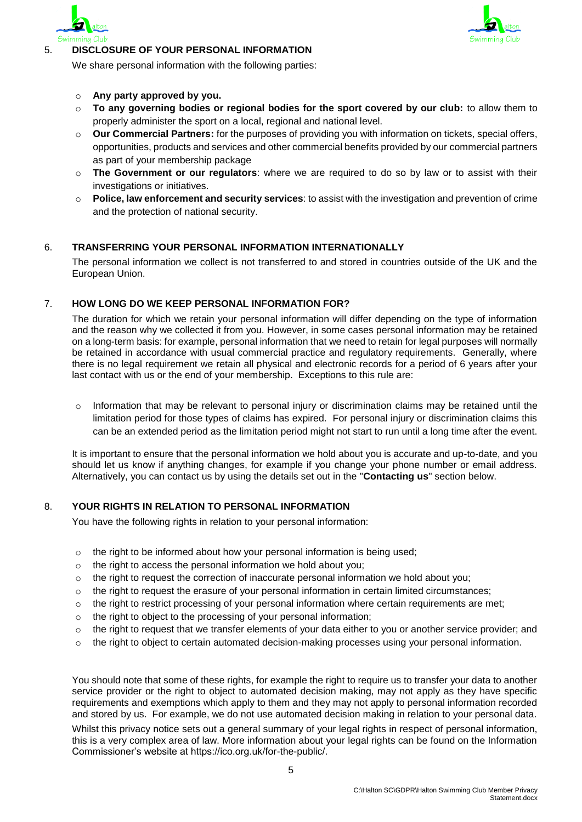



# 5. **DISCLOSURE OF YOUR PERSONAL INFORMATION**

We share personal information with the following parties:

#### o **Any party approved by you.**

- o **To any governing bodies or regional bodies for the sport covered by our club:** to allow them to properly administer the sport on a local, regional and national level.
- o **Our Commercial Partners:** for the purposes of providing you with information on tickets, special offers, opportunities, products and services and other commercial benefits provided by our commercial partners as part of your membership package
- o **The Government or our regulators**: where we are required to do so by law or to assist with their investigations or initiatives.
- o **Police, law enforcement and security services**: to assist with the investigation and prevention of crime and the protection of national security.

# 6. **TRANSFERRING YOUR PERSONAL INFORMATION INTERNATIONALLY**

The personal information we collect is not transferred to and stored in countries outside of the UK and the European Union.

### 7. **HOW LONG DO WE KEEP PERSONAL INFORMATION FOR?**

The duration for which we retain your personal information will differ depending on the type of information and the reason why we collected it from you. However, in some cases personal information may be retained on a long-term basis: for example, personal information that we need to retain for legal purposes will normally be retained in accordance with usual commercial practice and regulatory requirements. Generally, where there is no legal requirement we retain all physical and electronic records for a period of 6 years after your last contact with us or the end of your membership. Exceptions to this rule are:

 $\circ$  Information that may be relevant to personal injury or discrimination claims may be retained until the limitation period for those types of claims has expired. For personal injury or discrimination claims this can be an extended period as the limitation period might not start to run until a long time after the event.

It is important to ensure that the personal information we hold about you is accurate and up-to-date, and you should let us know if anything changes, for example if you change your phone number or email address. Alternatively, you can contact us by using the details set out in the "**Contacting us**" section below.

## 8. **YOUR RIGHTS IN RELATION TO PERSONAL INFORMATION**

You have the following rights in relation to your personal information:

- $\circ$  the right to be informed about how your personal information is being used;
- $\circ$  the right to access the personal information we hold about you:
- $\circ$  the right to request the correction of inaccurate personal information we hold about you;
- $\circ$  the right to request the erasure of your personal information in certain limited circumstances;
- $\circ$  the right to restrict processing of your personal information where certain requirements are met;
- o the right to object to the processing of your personal information;
- $\circ$  the right to request that we transfer elements of your data either to you or another service provider; and
- $\circ$  the right to object to certain automated decision-making processes using your personal information.

You should note that some of these rights, for example the right to require us to transfer your data to another service provider or the right to object to automated decision making, may not apply as they have specific requirements and exemptions which apply to them and they may not apply to personal information recorded and stored by us. For example, we do not use automated decision making in relation to your personal data.

Whilst this privacy notice sets out a general summary of your legal rights in respect of personal information, this is a very complex area of law. More information about your legal rights can be found on the Information Commissioner's website at https://ico.org.uk/for-the-public/.